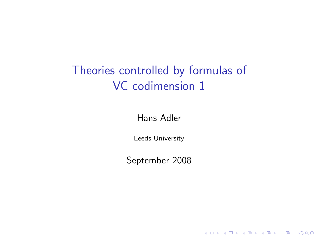#### Theories controlled by formulas of VC codimension 1

Hans Adler

Leeds University

September 2008

K ロ K K (P) K (E) K (E) X (E) X (P) K (P)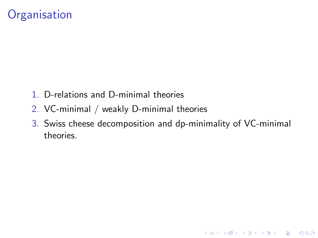#### **Organisation**

- 1. D-relations and D-minimal theories
- 2. VC-minimal / weakly D-minimal theories
- 3. Swiss cheese decomposition and dp-minimality of VC-minimal theories.

K ロ ▶ K @ ▶ K 할 > K 할 > 1 할 > 1 이익어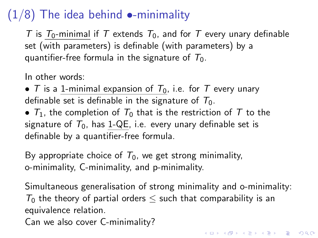# $(1/8)$  The idea behind  $\bullet$ -minimality

T is  $T_0$ -minimal if T extends  $T_0$ , and for T every unary definable set (with parameters) is definable (with parameters) by a quantifier-free formula in the signature of  $T_0$ .

In other words:

• T is a 1-minimal expansion of  $T_0$ , i.e. for T every unary definable set is definable in the signature of  $T_0$ .

•  $T_1$ , the completion of  $T_0$  that is the restriction of T to the signature of  $T_0$ , has 1-QE, i.e. every unary definable set is definable by a quantifier-free formula.

By appropriate choice of  $T_0$ , we get strong minimality, o-minimality, C-minimality, and p-minimality.

Simultaneous generalisation of strong minimality and o-minimality:  $T_0$  the theory of partial orders  $\leq$  such that comparability is an equivalence relation.

Can we also cover C-minimality?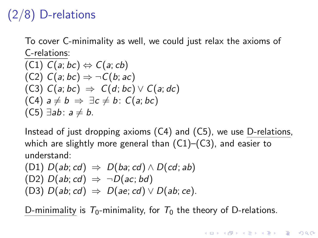# (2/8) D-relations

To cover C-minimality as well, we could just relax the axioms of C-relations:

$$
(C1) C(a; bc) \Leftrightarrow C(a; cb)
$$
  
\n
$$
(C2) C(a; bc) \Rightarrow \neg C(b; ac)
$$
  
\n
$$
(C3) C(a; bc) \Rightarrow C(d; bc) \lor C(a; dc)
$$
  
\n
$$
(C4) a \neq b \Rightarrow \exists c \neq b: C(a; bc)
$$
  
\n
$$
(C5) \exists ab: a \neq b.
$$

Instead of just dropping axioms (C4) and (C5), we use D-relations, which are slightly more general than  $(C1)$ – $(C3)$ , and easier to understand:

(D1) 
$$
D(ab; cd) \Rightarrow D(ba; cd) \land D(cd; ab)
$$
  
(D2)  $D(ab; cd) \Rightarrow \neg D(ac; bd)$   
(D3)  $D(ab; cd) \Rightarrow D(ae; cd) \lor D(ab; ce)$ .

D-minimality is  $T_0$ -minimality, for  $T_0$  the theory of D-relations.

**KORK ERKER ADE YOUR**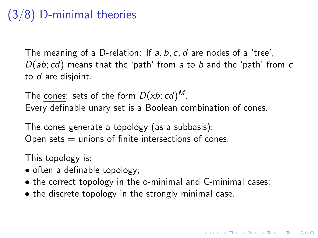# (3/8) D-minimal theories

The meaning of a D-relation: If a, b, c, d are nodes of a 'tree',  $D(ab; cd)$  means that the 'path' from a to b and the 'path' from  $c$ to d are disjoint.

The cones: sets of the form  $D(xb; cd)^M$ . Every definable unary set is a Boolean combination of cones.

The cones generate a topology (as a subbasis): Open sets  $=$  unions of finite intersections of cones.

This topology is:

- often a definable topology;
- the correct topology in the o-minimal and C-minimal cases;
- the discrete topology in the strongly minimal case.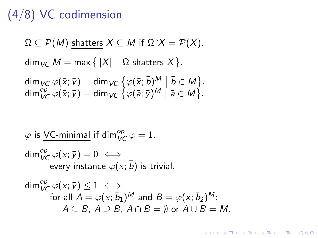#### (4/8) VC codimension

$$
\Omega \subseteq \mathcal{P}(M) \text{ shatters } X \subseteq M \text{ if } \Omega | X = \mathcal{P}(X).
$$
  
dim<sub>VC</sub>  $M = \max \{ |X| \mid \Omega \text{ shatters } X \}.$   
dim<sub>VC</sub>  $\varphi(\bar{x}; \bar{y}) = \dim_{VC} \{ \varphi(\bar{x}; \bar{b})^M \mid \bar{b} \in M \}.$   
dim<sub>VC</sub><sub>VC</sub>  $\varphi(\bar{x}; \bar{y}) = \dim_{VC} \{ \varphi(\bar{a}; \bar{y})^M \mid \bar{a} \in M \}.$ 

$$
\varphi \text{ is } \underbrace{VC\text{-minimal}}_{VC} \text{ if } \dim_{VC}^{op} \varphi = 1.
$$
\n
$$
\dim_{VC}^{op} \varphi(x; \bar{y}) = 0 \iff
$$
\n
$$
\text{every instance } \varphi(x; \bar{b}) \text{ is trivial.}
$$
\n
$$
\dim_{VC}^{op} \varphi(x; \bar{y}) \le 1 \iff
$$
\n
$$
\text{for all } A = \varphi(x; \bar{b}_1)^M \text{ and } B = \varphi(x; \bar{b}_2)^M.
$$
\n
$$
A \subseteq B, A \supseteq B, A \cap B = \emptyset \text{ or } A \cup B = M.
$$

K ロ ▶ K @ ▶ K 할 ▶ K 할 ▶ | 할 | 2000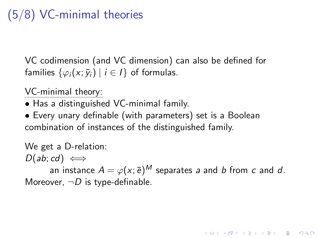# (5/8) VC-minimal theories

VC codimension (and VC dimension) can also be defined for families  $\{\varphi_i(x; \bar{y}_i) \mid i \in I\}$  of formulas.

VC-minimal theory:

- Has a distinguished VC-minimal family.
- Every unary definable (with parameters) set is a Boolean combination of instances of the distinguished family.

#### We get a D-relation:

 $D(ab; cd) \iff$ 

an instance  $A=\varphi({\sf x}; \bar{\sf e})^M$  separates  ${\sf a}$  and  ${\sf b}$  from  ${\sf c}$  and  ${\sf d}.$ Moreover,  $\neg D$  is type-definable.

KID KA KERKER E VOOR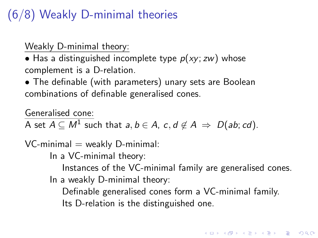#### (6/8) Weakly D-minimal theories

Weakly D-minimal theory:

• Has a distinguished incomplete type  $p(xy; zw)$  whose complement is a D-relation.

• The definable (with parameters) unary sets are Boolean combinations of definable generalised cones.

Generalised cone:

A set  $A\subseteq M^1$  such that  $a,b\in A$ ,  $c,d\not\in A\ \Rightarrow\ D(ab;cd).$ 

 $VC$ -minimal  $=$  weakly  $D$ -minimal:

In a VC-minimal theory:

Instances of the VC-minimal family are generalised cones. In a weakly D-minimal theory:

Definable generalised cones form a VC-minimal family. Its D-relation is the distinguished one.

4 D > 4 P + 4 B + 4 B + B + 9 Q O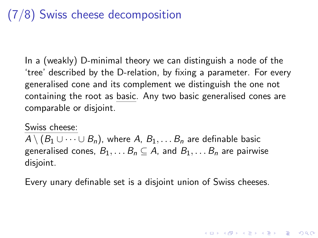#### (7/8) Swiss cheese decomposition

In a (weakly) D-minimal theory we can distinguish a node of the 'tree' described by the D-relation, by fixing a parameter. For every generalised cone and its complement we distinguish the one not containing the root as basic. Any two basic generalised cones are comparable or disjoint.

#### Swiss cheese:

 $A \setminus (B_1 \cup \cdots \cup B_n)$ , where A,  $B_1, \ldots B_n$  are definable basic generalised cones,  $B_1, \ldots B_n \subseteq A$ , and  $B_1, \ldots B_n$  are pairwise disjoint.

Every unary definable set is a disjoint union of Swiss cheeses.

4 D > 4 P + 4 B + 4 B + B + 9 Q O